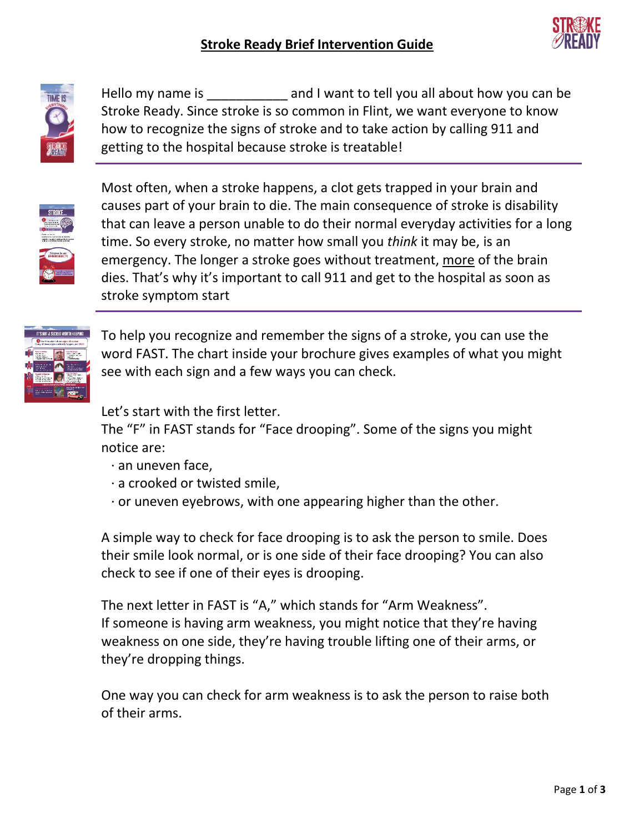



Hello my name is \_\_\_\_\_\_\_\_\_\_\_\_ and I want to tell you all about how you can be Stroke Ready. Since stroke is so common in Flint, we want everyone to know how to recognize the signs of stroke and to take action by calling 911 and getting to the hospital because stroke is treatable!



Most often, when a stroke happens, a clot gets trapped in your brain and causes part of your brain to die. The main consequence of stroke is disability that can leave a person unable to do their normal everyday activities for a long time. So every stroke, no matter how small you *think* it may be, is an emergency. The longer a stroke goes without treatment, more of the brain dies. That's why it's important to call 911 and get to the hospital as soon as stroke symptom start



To help you recognize and remember the signs of a stroke, you can use the word FAST. The chart inside your brochure gives examples of what you might see with each sign and a few ways you can check.

## Let's start with the first letter.

The "F" in FAST stands for "Face drooping". Some of the signs you might notice are:

- · an uneven face,
- · a crooked or twisted smile,
- $\cdot$  or uneven eyebrows, with one appearing higher than the other.

A simple way to check for face drooping is to ask the person to smile. Does their smile look normal, or is one side of their face drooping? You can also check to see if one of their eyes is drooping.

The next letter in FAST is "A," which stands for "Arm Weakness". If someone is having arm weakness, you might notice that they're having weakness on one side, they're having trouble lifting one of their arms, or they're dropping things.

One way you can check for arm weakness is to ask the person to raise both of their arms.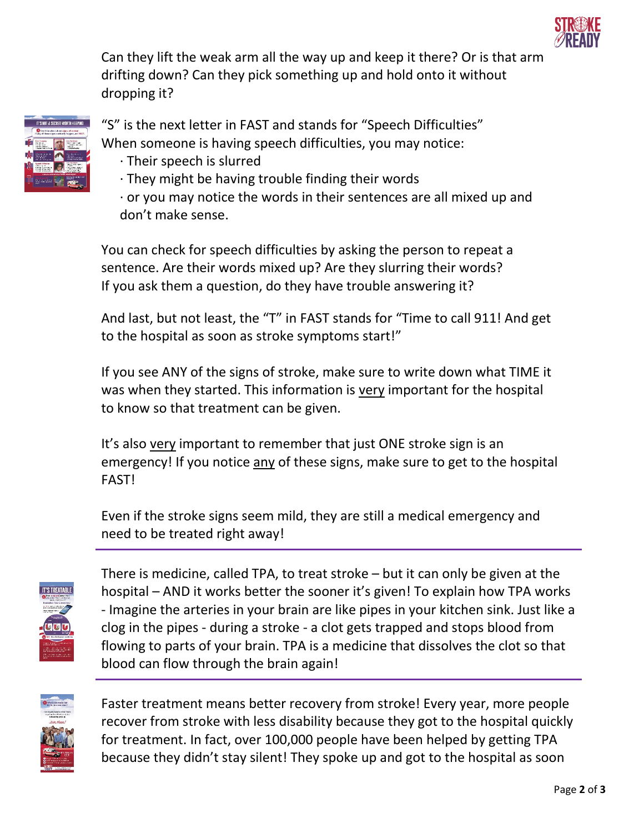

Can they lift the weak arm all the way up and keep it there? Or is that arm drifting down? Can they pick something up and hold onto it without dropping it?



"S" is the next letter in FAST and stands for "Speech Difficulties" When someone is having speech difficulties, you may notice:

- · Their speech is slurred
- · They might be having trouble finding their words

· or you may notice the words in their sentences are all mixed up and don't make sense.

You can check for speech difficulties by asking the person to repeat a sentence. Are their words mixed up? Are they slurring their words? If you ask them a question, do they have trouble answering it?

And last, but not least, the "T" in FAST stands for "Time to call 911! And get to the hospital as soon as stroke symptoms start!"

If you see ANY of the signs of stroke, make sure to write down what TIME it was when they started. This information is very important for the hospital to know so that treatment can be given.

It's also very important to remember that just ONE stroke sign is an emergency! If you notice any of these signs, make sure to get to the hospital FAST!

Even if the stroke signs seem mild, they are still a medical emergency and need to be treated right away!



There is medicine, called TPA, to treat stroke – but it can only be given at the hospital – AND it works better the sooner it's given! To explain how TPA works - Imagine the arteries in your brain are like pipes in your kitchen sink. Just like a clog in the pipes - during a stroke - a clot gets trapped and stops blood from flowing to parts of your brain. TPA is a medicine that dissolves the clot so that blood can flow through the brain again!



Faster treatment means better recovery from stroke! Every year, more people recover from stroke with less disability because they got to the hospital quickly for treatment. In fact, over 100,000 people have been helped by getting TPA because they didn't stay silent! They spoke up and got to the hospital as soon